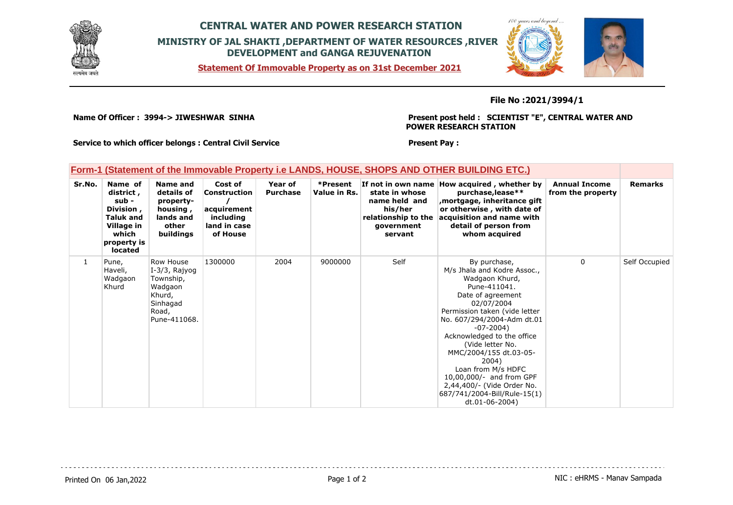

## **CENTRAL WATER AND POWER RESEARCH STATION MINISTRY OF JAL SHAKTI ,DEPARTMENT OF WATER RESOURCES ,RIVER DEVELOPMENT and GANGA REJUVENATION**

**Statement Of Immovable Property as on 31st December 2021**



### **File No :2021/3994/1**

**Name Of Officer : 3994-> JIWESHWAR SINHA** 

**Present post held : SCIENTIST "E", CENTRAL WATER AND POWER RESEARCH STATION**

**Present Pay :** 

**Service to which officer belongs : Central Civil Service**

### **Form-1 (Statement of the Immovable Property i.e LANDS, HOUSE, SHOPS AND OTHER BUILDING ETC.)**

| Sr.No.       | Name of<br>district,<br>sub -<br>Division,<br><b>Taluk and</b><br>Village in<br>which<br>property is<br><b>located</b> | Name and<br>details of<br>property-<br>housing,<br>lands and<br>other<br>buildings                | Cost of<br><b>Construction</b><br>acquirement<br>including<br>land in case<br>of House | Year of<br><b>Purchase</b> | *Present<br>Value in Rs. | If not in own name<br>state in whose<br>name held and<br>his/her<br>relationship to the<br>government<br>servant | How acquired, whether by<br>purchase, lease**<br>mortgage, inheritance gift<br>or otherwise, with date of<br>acquisition and name with<br>detail of person from<br>whom acquired                                                                                                                                                                                                                                       | <b>Annual Income</b><br>from the property | <b>Remarks</b> |
|--------------|------------------------------------------------------------------------------------------------------------------------|---------------------------------------------------------------------------------------------------|----------------------------------------------------------------------------------------|----------------------------|--------------------------|------------------------------------------------------------------------------------------------------------------|------------------------------------------------------------------------------------------------------------------------------------------------------------------------------------------------------------------------------------------------------------------------------------------------------------------------------------------------------------------------------------------------------------------------|-------------------------------------------|----------------|
| $\mathbf{1}$ | Pune,<br>Haveli,<br>Wadgaon<br>Khurd                                                                                   | Row House<br>I-3/3, Rajyog<br>Township,<br>Wadgaon<br>Khurd,<br>Sinhagad<br>Road,<br>Pune-411068. | 1300000                                                                                | 2004                       | 9000000                  | Self                                                                                                             | By purchase,<br>M/s Jhala and Kodre Assoc.,<br>Wadgaon Khurd,<br>Pune-411041.<br>Date of agreement<br>02/07/2004<br>Permission taken (vide letter<br>No. 607/294/2004-Adm dt.01<br>$-07 - 2004$<br>Acknowledged to the office<br>(Vide letter No.<br>MMC/2004/155 dt.03-05-<br>2004)<br>Loan from M/s HDFC<br>10,00,000/- and from GPF<br>2,44,400/- (Vide Order No.<br>687/741/2004-Bill/Rule-15(1)<br>dt.01-06-2004) | 0                                         | Self Occupied  |